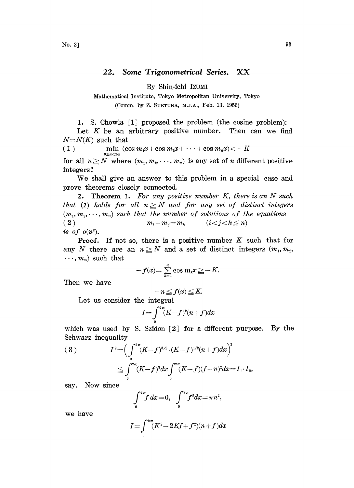## 22. Some Trigonometrical Series. XX

By Shin-ichi IZUMI

Mathematical Institute, Tokyo Metropolitan University, Tokyo (Comm. by Z. SUETUNA, M.J.A., Feb. 13, 1956)

1. S. Chowla [1] proposed the problem (the cosine problem):

Let  $K$  be an arbitrary positive number. Then can we find  $N=N(K)$  such that

( 1 ) min  $(\cos m_1x+\cos m_2x+\cdots+\cos m_nx){<}-K$  $0{\leq}x{<}2\pi$ 

for all  $n \geq N$  where  $(m_1, m_2, \dots, m_n)$  is any set of n different positive integers ?

We shall give an answer to this problem in <sup>a</sup> special case and prove theorems closely connected.

**2.** Theorem 1. For any positive number  $K$ , there is an  $N$  such that (1) holds for all  $n \geq N$  and for any set of distinct integers  $(m_1, m_2, \dots, m_n)$  such that the number of solutions of the equations  $(i < j < k \leq n)$ ( 2 )  $m_i + m_j = m_k$ is of  $o(n^2)$ .

**Proof.** If not so, there is a positive number  $K$  such that for any N there are an  $n \geq N$  and a set of distinct integers  $(m_1, m_2,$  $\cdots$ ,  $m_n$ ) such that

$$
-f(x) = \sum_{k=1}^n \cos m_k x \geq -K.
$$

Then we have

$$
-n \leq f(x) \leq K.
$$

Let us consider the integral

$$
I = \int_{0}^{2\pi} (K - f)^2 (n + f) dx
$$

which was used by S. Szidon  $[2]$  for a different purpose. By the Schwarz inequality

(3) 
$$
I^{2} = \left(\int_{0}^{2\pi} (K - f)^{3/2} \cdot (K - f)^{1/2} (n + f) dx\right)^{2}
$$

$$
\leq \int_{0}^{2\pi} (K - f)^{3} dx \int_{0}^{2\pi} (K - f) (f + n)^{2} dx = I_{1} \cdot I_{2},
$$

say. Now since

$$
\int_{0}^{2\pi} f \, dx = 0, \quad \int_{0}^{2\pi} f^2 dx = \pi n^2,
$$

we have

$$
I\!=\!\int_{\!0}^{2\pi}\!(K^2\!-\!2K\!f\!+\!f^2\!)(n\!+\!f)dx
$$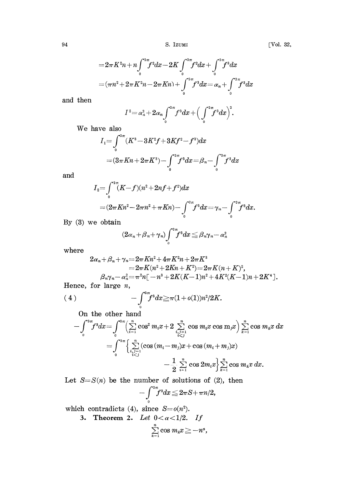$$
=2\pi K^{2}n+n\int_{0}^{2\pi}f^{2}dx-2K\int_{0}^{2\pi}f^{2}dx+\int_{0}^{2\pi}f^{3}dx
$$

$$
=(\pi n^{2}+2\pi K^{2}n-2\pi Kn)+\int_{0}^{2\pi}f^{3}dx=\alpha_{n}+\int_{0}^{2\pi}f^{3}dx
$$

and then

$$
I^{2} = \alpha_{n}^{2} + 2\alpha_{n} \int_{0}^{2\pi} f^{3} dx + \left(\int_{0}^{2\pi} f^{3} dx\right)^{2}.
$$

We have also

$$
I_1 = \int_0^{2\pi} (K^3 - 3K^2f + 3Kf^2 - f^3) dx
$$
  
=  $(3\pi Kn + 2\pi K^3) - \int_0^{2\pi} f^3 dx = \beta_n - \int_0^{2\pi} f^3 dx$ 

and

$$
I_2 = \int_0^{2\pi} (K - f)(n^2 + 2nf + f^2) dx
$$
  
=  $(2\pi K n^2 - 2\pi n^2 + \pi K n) - \int_0^{2\pi} f^3 dx = \gamma_n - \int_0^{2\pi} f^3 dx.$ 

By (3) we obtain

$$
(2\alpha_n+\beta_n+\gamma_n)\int_0^{2\pi}\!\!\!f^3dx\leq \beta_n\gamma_n-\alpha_n^2
$$

where

$$
2\alpha_n + \beta_n + \gamma_n = 2\pi Kn^2 + 4\pi K^2 n + 2\pi K^3
$$
  
\n
$$
= 2\pi K(n^2 + 2Kn + K^2) = 2\pi K(n+K)^2,
$$
  
\n
$$
\beta_n \gamma_n - \alpha_n^2 = \pi^2 n[-n^3 + 2K(K-1)n^2 + 4K^2(K-1)n + 2K^4].
$$
  
\nfor large *n*,  
\n
$$
- \int_0^{2\pi} f^3 dx \ge \pi (1 + o(1))n^2/2K.
$$

Hence, for large  $n$ ,

(4) 
$$
-\int_{0}^{2\pi} f^{3} dx \geq \pi (1+o(1))n^{2}/2K.
$$

On the other hand

$$
-\int_{0}^{2\pi} f^{3} dx = \int_{0}^{2\pi} \left(\sum_{i=1}^{n} \cos^{2} m_{i} x + 2 \sum_{i, j=1 \atop i < j}^{n} \cos m_{i} x \cos m_{j} x\right) \sum_{k=1}^{n} \cos m_{k} x dx
$$
  
= 
$$
\int_{0}^{2\pi} \left\{\sum_{i, j=1 \atop i < j}^{n} (\cos (m_{i} - m_{j}) x + \cos (m_{i} + m_{j}) x) - \frac{1}{2} \sum_{i=1}^{n} \cos 2m_{i} x\right\} \sum_{k=1}^{n} \cos m_{k} x dx.
$$

Let  $S=S(n)$  be the number of solutions of (2), then

$$
-\int_{0}^{2\pi} f^3 dx \leq 2\pi S + \pi n/2,
$$

which contradicts (4), since  $S = o(n^2)$ .

3. Theorem 2. Let  $0 < \alpha < 1/2$ . If  $\sum\limits_{k=1}^n\cos\,m_kx\!\geq\!-n,$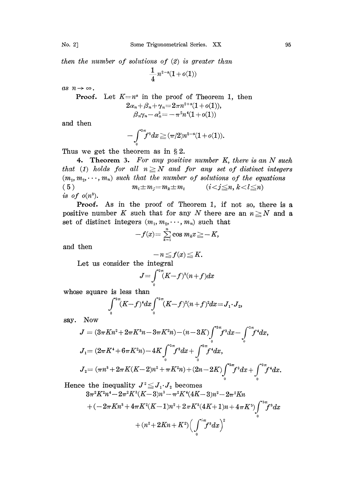then the number of solutions of  $(2)$  is greater than

 $\frac{1}{4}n^{2-a}(1+o(1))$ 

as  $n \rightarrow \infty$ .

**Proof.** Let 
$$
K=n^a
$$
 in the proof of Theorem 1, then  
\n
$$
2\alpha_n + \beta_n + \gamma_n = 2\pi n^{2+a}(1+o(1)),
$$
\n
$$
\beta_n \gamma_n - \alpha_n^2 = -\pi^2 n^4 (1+o(1))
$$

and then

$$
-\int_0^{2\pi} f^3 dx \geqq (\pi/2)n^{2-a}(1+o(1)).
$$

Thus we get the theorem as in  $\S 2$ .

4. Theorem 3. For any positive number  $K$ , there is an  $N$  such that (1) holds for all  $n \geq N$  and for any set of distinct integers  $(m_1, m_2, \dots, m_n)$  such that the number of solutions of the equations (5)  $m_i \pm m_j = m_k \pm m_l$   $(i < j \leq n, k < l \leq n)$ is of  $o(n^3)$ .

Proof. As in the proof of Theorem 1, if not so, there is a positive number K such that for any N there are an  $n \geq N$  and a set of distinct integers  $(m_1, m_2, \dots, m_n)$  such that<br> $-f(x) = \sum_{k=1}^n \cos m_k x \geq -K,$ 

$$
-f(x) = \sum_{k=1}^n \cos m_k x \geq -K,
$$

and then

$$
-n \leq f(x) \leq K.
$$

Let us eonsider the integral

$$
J = \int_{0}^{2\pi} (K - f)^{3} (n + f) dx
$$

whose square is less than

$$
\int_{0}^{2\pi} (K-f)^{4} dx \int_{0}^{2\pi} (K-f)^{2} (n+f)^{2} dx = J_{1} \cdot J_{2},
$$

say. Now

$$
J = (3\pi Kn^2 + 2\pi K^3n - 3\pi K^2n) - (n - 3K) \int_0^{2\pi} f^3 dx - \int_0^{2\pi} f^4 dx,
$$
  
\n
$$
J_1 = (2\pi K^4 + 6\pi K^2n) - 4K \int_0^{2\pi} f^3 dx + \int_0^{2\pi} f^4 dx,
$$
  
\n
$$
J_2 = (\pi n^3 + 2\pi K(K-2)n^2 + \pi K^2n) + (2n - 2K) \int_0^{2\pi} f^3 dx + \int_0^{2\pi} f^4 dx.
$$
  
\nsee the inequality  $J^2 \le J_1 \cdot J_2$  becomes  
\n
$$
3\pi^2 K^2n^4 - 2\pi^2 K^3(K-3)n^3 - \pi^2 K^4(4K-3)n^2 - 2\pi^2 Kn
$$

Hence the inequality  $J^2 \leq J_1 \cdot J_2$  becomes

$$
3\pi^{2}K^{2}n^{4}-2\pi^{2}K^{3}(K-3)n^{3}-\pi^{2}K^{4}(4K-3)n^{2}-2\pi^{2}Kn
$$
  
+
$$
(-2\pi Kn^{3}+4\pi K^{2}(K-1)n^{2}+2\pi K^{3}(4K+1)n+4\pi K^{5})\int_{0}^{2\pi}f^{3}dx
$$
  
+
$$
(n^{2}+2Kn+K^{2})\Big(\int_{0}^{2\pi}f^{3}dx\Big)^{2}
$$